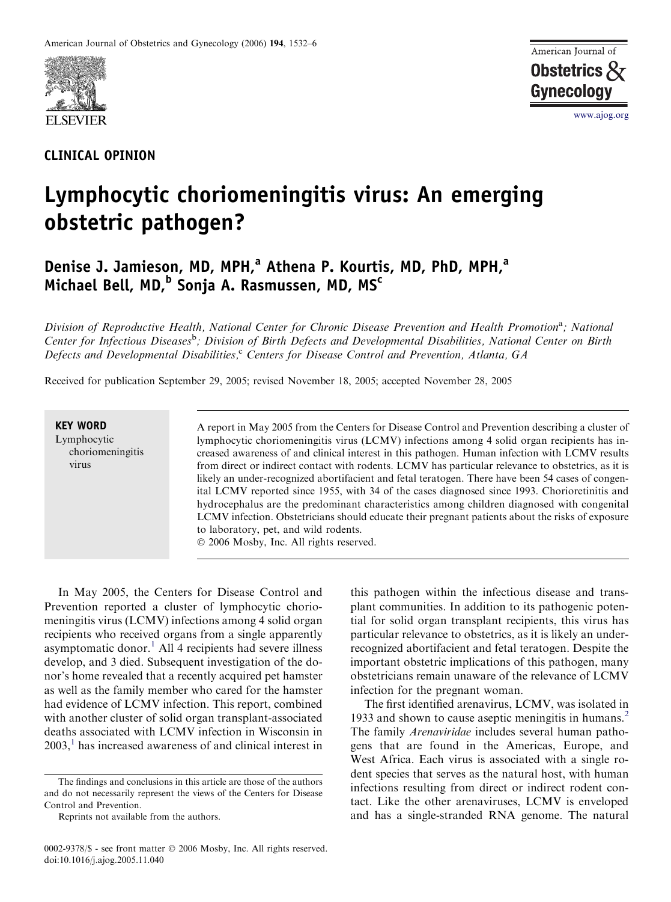

## CLINICAL OPINION



www.ajog.org

## Lymphocytic choriomeningitis virus: An emerging obstetric pathogen?

Denise J. Jamieson, MD, MPH,<sup>a</sup> Athena P. Kourtis, MD, PhD, MPH,<sup>a</sup> Michael Bell, MD,<sup>b</sup> Sonja A. Rasmussen, MD, MS<sup>c</sup>

Division of Reproductive Health, National Center for Chronic Disease Prevention and Health Promotion<sup>a</sup>; National Center for Infectious Diseases<sup>b</sup>; Division of Birth Defects and Developmental Disabilities, National Center on Birth Defects and Developmental Disabilities, $c^c$  Centers for Disease Control and Prevention, Atlanta, GA

Received for publication September 29, 2005; revised November 18, 2005; accepted November 28, 2005

## KEY WORD Lymphocytic choriomeningitis virus

A report in May 2005 from the Centers for Disease Control and Prevention describing a cluster of lymphocytic choriomeningitis virus (LCMV) infections among 4 solid organ recipients has increased awareness of and clinical interest in this pathogen. Human infection with LCMV results from direct or indirect contact with rodents. LCMV has particular relevance to obstetrics, as it is likely an under-recognized abortifacient and fetal teratogen. There have been 54 cases of congenital LCMV reported since 1955, with 34 of the cases diagnosed since 1993. Chorioretinitis and hydrocephalus are the predominant characteristics among children diagnosed with congenital LCMV infection. Obstetricians should educate their pregnant patients about the risks of exposure to laboratory, pet, and wild rodents.

2006 Mosby, Inc. All rights reserved.

In May 2005, the Centers for Disease Control and Prevention reported a cluster of lymphocytic choriomeningitis virus (LCMV) infections among 4 solid organ recipients who received organs from a single apparently asymptomatic donor.<sup>[1](#page-3-0)</sup> All 4 recipients had severe illness develop, and 3 died. Subsequent investigation of the donor's home revealed that a recently acquired pet hamster as well as the family member who cared for the hamster had evidence of LCMV infection. This report, combined with another cluster of solid organ transplant-associated deaths associated with LCMV infection in Wisconsin in  $2003$ ,<sup>[1](#page-3-0)</sup> has increased awareness of and clinical interest in

0002-9378/\$ - see front matter © 2006 Mosby, Inc. All rights reserved. doi:10.1016/j.ajog.2005.11.040

this pathogen within the infectious disease and transplant communities. In addition to its pathogenic potential for solid organ transplant recipients, this virus has particular relevance to obstetrics, as it is likely an underrecognized abortifacient and fetal teratogen. Despite the important obstetric implications of this pathogen, many obstetricians remain unaware of the relevance of LCMV infection for the pregnant woman.

The first identified arenavirus, LCMV, was isolated in 1933 and shown to cause aseptic meningitis in humans.<sup>2</sup> The family Arenaviridae includes several human pathogens that are found in the Americas, Europe, and West Africa. Each virus is associated with a single rodent species that serves as the natural host, with human infections resulting from direct or indirect rodent contact. Like the other arenaviruses, LCMV is enveloped and has a single-stranded RNA genome. The natural

The findings and conclusions in this article are those of the authors and do not necessarily represent the views of the Centers for Disease Control and Prevention.

Reprints not available from the authors.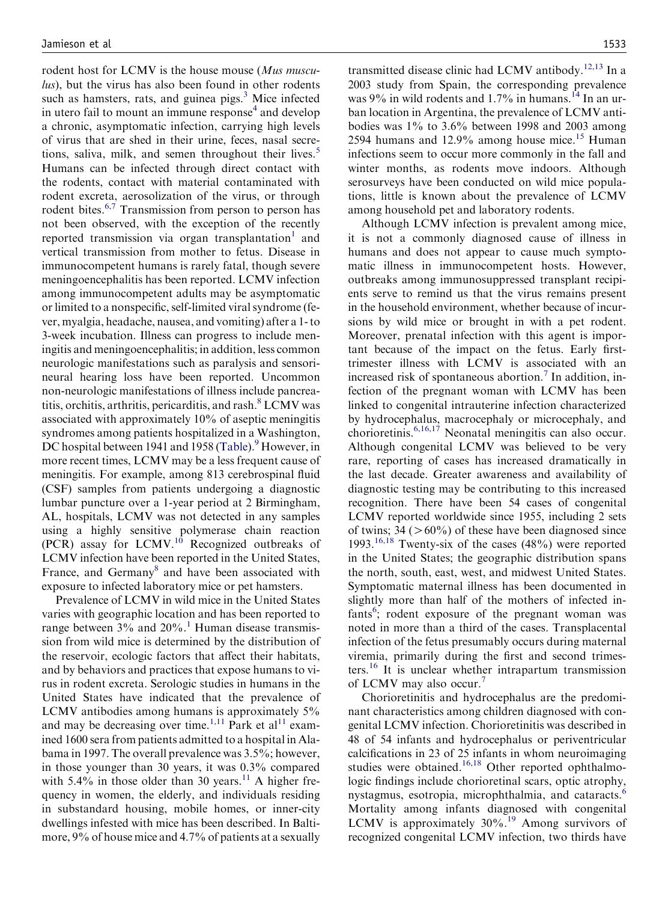rodent host for LCMV is the house mouse (Mus musculus), but the virus has also been found in other rodents such as hamsters, rats, and guinea pigs. $<sup>3</sup>$  $<sup>3</sup>$  $<sup>3</sup>$  Mice infected</sup> in utero fail to mount an immune response $4$  and develop a chronic, asymptomatic infection, carrying high levels of virus that are shed in their urine, feces, nasal secre-tions, saliva, milk, and semen throughout their lives.<sup>[5](#page-3-0)</sup> Humans can be infected through direct contact with the rodents, contact with material contaminated with rodent excreta, aerosolization of the virus, or through rodent bites.<sup>[6,7](#page-3-0)</sup> Transmission from person to person has not been observed, with the exception of the recently reported transmission via organ transplantation<sup>[1](#page-3-0)</sup> and vertical transmission from mother to fetus. Disease in immunocompetent humans is rarely fatal, though severe meningoencephalitis has been reported. LCMV infection among immunocompetent adults may be asymptomatic or limited to a nonspecific, self-limited viral syndrome (fever, myalgia, headache, nausea, and vomiting) after a 1- to 3-week incubation. Illness can progress to include meningitis and meningoencephalitis; in addition, less common neurologic manifestations such as paralysis and sensorineural hearing loss have been reported. Uncommon non-neurologic manifestations of illness include pancreatitis, orchitis, arthritis, pericarditis, and rash. $8$  LCMV was associated with approximately 10% of aseptic meningitis syndromes among patients hospitalized in a Washington, DC hospital between 1941 and 1958 ([Table\)](#page-2-0).<sup>[9](#page-3-0)</sup> However, in more recent times, LCMV may be a less frequent cause of meningitis. For example, among 813 cerebrospinal fluid (CSF) samples from patients undergoing a diagnostic lumbar puncture over a 1-year period at 2 Birmingham, AL, hospitals, LCMV was not detected in any samples using a highly sensitive polymerase chain reaction  $(PCR)$  assay for LCMV.<sup>[10](#page-4-0)</sup> Recognized outbreaks of LCMV infection have been reported in the United States, France, and Germany<sup>[8](#page-3-0)</sup> and have been associated with exposure to infected laboratory mice or pet hamsters.

Prevalence of LCMV in wild mice in the United States varies with geographic location and has been reported to range between  $3\%$  and  $20\%$ .<sup>[1](#page-3-0)</sup> Human disease transmission from wild mice is determined by the distribution of the reservoir, ecologic factors that affect their habitats, and by behaviors and practices that expose humans to virus in rodent excreta. Serologic studies in humans in the United States have indicated that the prevalence of LCMV antibodies among humans is approximately 5% and may be decreasing over time.<sup>[1,11](#page-3-0)</sup> Park et al<sup>11</sup> examined 1600 sera from patients admitted to a hospital in Alabama in 1997. The overall prevalence was 3.5%; however, in those younger than 30 years, it was 0.3% compared with  $5.4\%$  in those older than 30 years.<sup>[11](#page-4-0)</sup> A higher frequency in women, the elderly, and individuals residing in substandard housing, mobile homes, or inner-city dwellings infested with mice has been described. In Baltimore, 9% of house mice and 4.7% of patients at a sexually

transmitted disease clinic had LCMV antibody.<sup>[12,13](#page-4-0)</sup> In a 2003 study from Spain, the corresponding prevalence was 9% in wild rodents and  $1.7\%$  in humans.<sup>[14](#page-4-0)</sup> In an urban location in Argentina, the prevalence of LCMV antibodies was 1% to 3.6% between 1998 and 2003 among 2594 humans and  $12.9\%$  among house mice.<sup>[15](#page-4-0)</sup> Human infections seem to occur more commonly in the fall and winter months, as rodents move indoors. Although serosurveys have been conducted on wild mice populations, little is known about the prevalence of LCMV among household pet and laboratory rodents.

Although LCMV infection is prevalent among mice, it is not a commonly diagnosed cause of illness in humans and does not appear to cause much symptomatic illness in immunocompetent hosts. However, outbreaks among immunosuppressed transplant recipients serve to remind us that the virus remains present in the household environment, whether because of incursions by wild mice or brought in with a pet rodent. Moreover, prenatal infection with this agent is important because of the impact on the fetus. Early firsttrimester illness with LCMV is associated with an increased risk of spontaneous abortion.<sup>[7](#page-3-0)</sup> In addition, infection of the pregnant woman with LCMV has been linked to congenital intrauterine infection characterized by hydrocephalus, macrocephaly or microcephaly, and chorioretinis.[6,16,17](#page-3-0) Neonatal meningitis can also occur. Although congenital LCMV was believed to be very rare, reporting of cases has increased dramatically in the last decade. Greater awareness and availability of diagnostic testing may be contributing to this increased recognition. There have been 54 cases of congenital LCMV reported worldwide since 1955, including 2 sets of twins;  $34$  ( $>60\%$ ) of these have been diagnosed since 1993.<sup>[16,18](#page-4-0)</sup> Twenty-six of the cases  $(48%)$  were reported in the United States; the geographic distribution spans the north, south, east, west, and midwest United States. Symptomatic maternal illness has been documented in slightly more than half of the mothers of infected in-fants<sup>[6](#page-3-0)</sup>; rodent exposure of the pregnant woman was noted in more than a third of the cases. Transplacental infection of the fetus presumably occurs during maternal viremia, primarily during the first and second trimesters.[16](#page-4-0) It is unclear whether intrapartum transmission of LCMV may also occur.<sup>[7](#page-3-0)</sup>

Chorioretinitis and hydrocephalus are the predominant characteristics among children diagnosed with congenital LCMV infection. Chorioretinitis was described in 48 of 54 infants and hydrocephalus or periventricular calcifications in 23 of 25 infants in whom neuroimaging studies were obtained.<sup>[16,18](#page-4-0)</sup> Other reported ophthalmologic findings include chorioretinal scars, optic atrophy, nystagmus, esotropia, microphthalmia, and cataracts.<sup>[6](#page-3-0)</sup> Mortality among infants diagnosed with congenital LCMV is approximately 30%.<sup>[19](#page-4-0)</sup> Among survivors of recognized congenital LCMV infection, two thirds have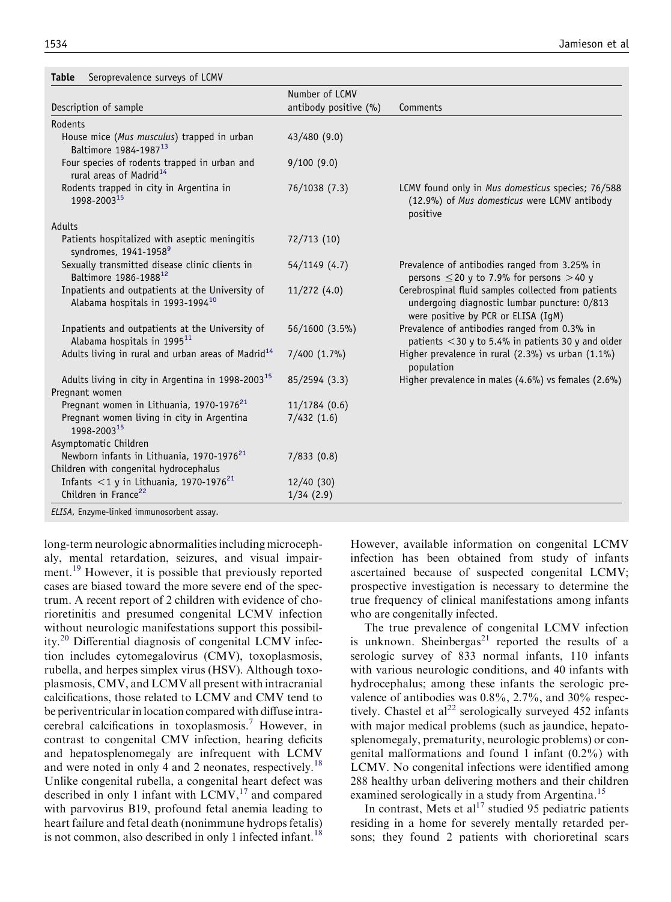<span id="page-2-0"></span>

| Seroprevalence surveys of LCMV<br><b>Table</b>                                                  |                       |                                                                                                                                            |
|-------------------------------------------------------------------------------------------------|-----------------------|--------------------------------------------------------------------------------------------------------------------------------------------|
|                                                                                                 | Number of LCMV        |                                                                                                                                            |
| Description of sample                                                                           | antibody positive (%) | Comments                                                                                                                                   |
| Rodents                                                                                         |                       |                                                                                                                                            |
| House mice (Mus musculus) trapped in urban<br>Baltimore 1984-1987 <sup>13</sup>                 | 43/480 (9.0)          |                                                                                                                                            |
| Four species of rodents trapped in urban and<br>rural areas of Madrid <sup>14</sup>             | 9/100(9.0)            |                                                                                                                                            |
| Rodents trapped in city in Argentina in<br>1998-2003 <sup>15</sup>                              | 76/1038 (7.3)         | LCMV found only in Mus domesticus species; 76/588<br>(12.9%) of Mus domesticus were LCMV antibody<br>positive                              |
| Adults                                                                                          |                       |                                                                                                                                            |
| Patients hospitalized with aseptic meningitis<br>syndromes, 1941-1958 <sup>9</sup>              | 72/713 (10)           |                                                                                                                                            |
| Sexually transmitted disease clinic clients in<br>Baltimore 1986-1988 <sup>12</sup>             | 54/1149 (4.7)         | Prevalence of antibodies ranged from 3.25% in<br>persons $\leq$ 20 y to 7.9% for persons > 40 y                                            |
| Inpatients and outpatients at the University of<br>Alabama hospitals in 1993-1994 <sup>10</sup> | 11/272(4.0)           | Cerebrospinal fluid samples collected from patients<br>undergoing diagnostic lumbar puncture: 0/813<br>were positive by PCR or ELISA (IgM) |
| Inpatients and outpatients at the University of<br>Alabama hospitals in 1995 <sup>11</sup>      | 56/1600 (3.5%)        | Prevalence of antibodies ranged from 0.3% in<br>patients $<$ 30 y to 5.4% in patients 30 y and older                                       |
| Adults living in rural and urban areas of Madrid <sup>14</sup>                                  | $7/400$ $(1.7\%)$     | Higher prevalence in rural (2.3%) vs urban (1.1%)<br>population                                                                            |
| Adults living in city in Argentina in 1998-2003 <sup>15</sup>                                   | 85/2594 (3.3)         | Higher prevalence in males (4.6%) vs females (2.6%)                                                                                        |
| Pregnant women                                                                                  |                       |                                                                                                                                            |
| Pregnant women in Lithuania, 1970-1976 <sup>21</sup>                                            | 11/1784(0.6)          |                                                                                                                                            |
| Pregnant women living in city in Argentina<br>1998-2003 <sup>15</sup>                           | 7/432(1.6)            |                                                                                                                                            |
| Asymptomatic Children                                                                           |                       |                                                                                                                                            |
| Newborn infants in Lithuania, 1970-1976 <sup>21</sup>                                           | 7/833(0.8)            |                                                                                                                                            |
| Children with congenital hydrocephalus                                                          |                       |                                                                                                                                            |
| Infants $<$ 1 y in Lithuania, 1970-1976 <sup>21</sup>                                           | 12/40(30)             |                                                                                                                                            |
| Children in France <sup>22</sup>                                                                | 1/34(2.9)             |                                                                                                                                            |
| $\cdots$ $\cdots$                                                                               |                       |                                                                                                                                            |

ELISA, Enzyme-linked immunosorbent assay.

long-term neurologic abnormalities including microcephaly, mental retardation, seizures, and visual impair-ment.<sup>[19](#page-4-0)</sup> However, it is possible that previously reported cases are biased toward the more severe end of the spectrum. A recent report of 2 children with evidence of chorioretinitis and presumed congenital LCMV infection without neurologic manifestations support this possibility.[20](#page-4-0) Differential diagnosis of congenital LCMV infection includes cytomegalovirus (CMV), toxoplasmosis, rubella, and herpes simplex virus (HSV). Although toxoplasmosis, CMV, and LCMV all present with intracranial calcifications, those related to LCMV and CMV tend to be periventricular in location compared with diffuse intracerebral calcifications in toxoplasmosis.[7](#page-3-0) However, in contrast to congenital CMV infection, hearing deficits and hepatosplenomegaly are infrequent with LCMV and were noted in only 4 and 2 neonates, respectively.<sup>[18](#page-4-0)</sup> Unlike congenital rubella, a congenital heart defect was described in only 1 infant with  $LCMV<sub>17</sub>$  $LCMV<sub>17</sub>$  $LCMV<sub>17</sub>$  and compared with parvovirus B19, profound fetal anemia leading to heart failure and fetal death (nonimmune hydrops fetalis) is not common, also described in only 1 infected infant.<sup>[18](#page-4-0)</sup>

However, available information on congenital LCMV infection has been obtained from study of infants ascertained because of suspected congenital LCMV; prospective investigation is necessary to determine the true frequency of clinical manifestations among infants who are congenitally infected.

The true prevalence of congenital LCMV infection is unknown. Sheinbergas<sup>[21](#page-4-0)</sup> reported the results of a serologic survey of 833 normal infants, 110 infants with various neurologic conditions, and 40 infants with hydrocephalus; among these infants the serologic prevalence of antibodies was 0.8%, 2.7%, and 30% respec-tively. Chastel et al<sup>[22](#page-4-0)</sup> serologically surveyed 452 infants with major medical problems (such as jaundice, hepatosplenomegaly, prematurity, neurologic problems) or congenital malformations and found 1 infant (0.2%) with LCMV. No congenital infections were identified among 288 healthy urban delivering mothers and their children examined serologically in a study from Argentina.<sup>[15](#page-4-0)</sup>

In contrast, Mets et al<sup>[17](#page-4-0)</sup> studied 95 pediatric patients residing in a home for severely mentally retarded persons; they found 2 patients with chorioretinal scars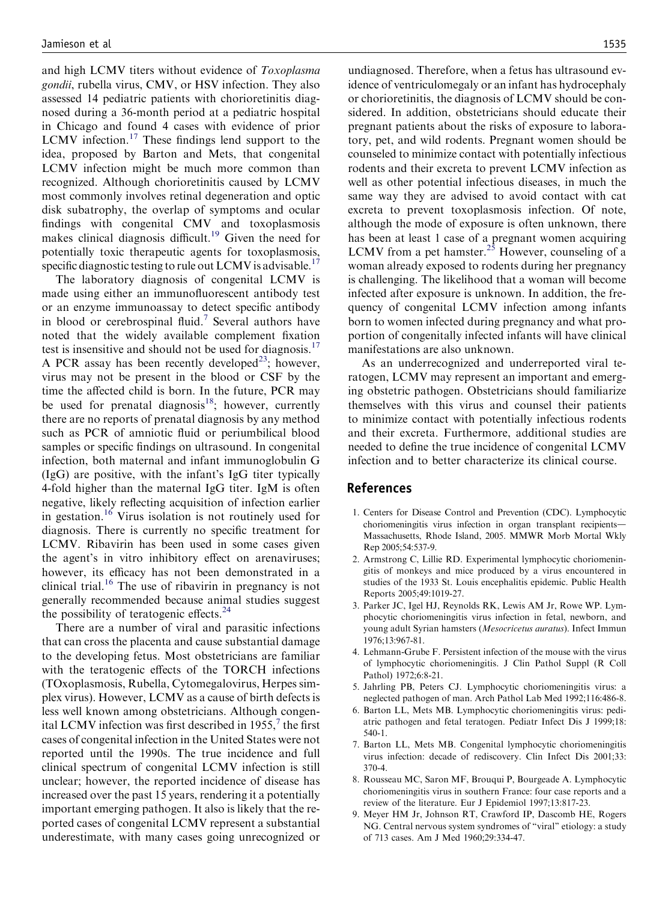<span id="page-3-0"></span>and high LCMV titers without evidence of Toxoplasma gondii, rubella virus, CMV, or HSV infection. They also assessed 14 pediatric patients with chorioretinitis diagnosed during a 36-month period at a pediatric hospital in Chicago and found 4 cases with evidence of prior LCMV infection.<sup>[17](#page-4-0)</sup> These findings lend support to the idea, proposed by Barton and Mets, that congenital LCMV infection might be much more common than recognized. Although chorioretinitis caused by LCMV most commonly involves retinal degeneration and optic disk subatrophy, the overlap of symptoms and ocular findings with congenital CMV and toxoplasmosis makes clinical diagnosis difficult.<sup>[19](#page-4-0)</sup> Given the need for potentially toxic therapeutic agents for toxoplasmosis, specific diagnostic testing to rule out LCMV is advisable.<sup>17</sup>

The laboratory diagnosis of congenital LCMV is made using either an immunofluorescent antibody test or an enzyme immunoassay to detect specific antibody in blood or cerebrospinal fluid.<sup>7</sup> Several authors have noted that the widely available complement fixation test is insensitive and should not be used for diagnosis.<sup>17</sup> A PCR assay has been recently developed<sup>23</sup>; however, virus may not be present in the blood or CSF by the time the affected child is born. In the future, PCR may be used for prenatal diagnosis<sup>18</sup>; however, currently there are no reports of prenatal diagnosis by any method such as PCR of amniotic fluid or periumbilical blood samples or specific findings on ultrasound. In congenital infection, both maternal and infant immunoglobulin G (IgG) are positive, with the infant's IgG titer typically 4-fold higher than the maternal IgG titer. IgM is often negative, likely reflecting acquisition of infection earlier in gestation.<sup>[16](#page-4-0)</sup> Virus isolation is not routinely used for diagnosis. There is currently no specific treatment for LCMV. Ribavirin has been used in some cases given the agent's in vitro inhibitory effect on arenaviruses; however, its efficacy has not been demonstrated in a clinical trial.<sup>[16](#page-4-0)</sup> The use of ribavirin in pregnancy is not generally recommended because animal studies suggest the possibility of teratogenic effects.<sup>[24](#page-4-0)</sup>

There are a number of viral and parasitic infections that can cross the placenta and cause substantial damage to the developing fetus. Most obstetricians are familiar with the teratogenic effects of the TORCH infections (TOxoplasmosis, Rubella, Cytomegalovirus, Herpes simplex virus). However, LCMV as a cause of birth defects is less well known among obstetricians. Although congenital LCMV infection was first described in 1955, $\frac{7}{1}$  the first cases of congenital infection in the United States were not reported until the 1990s. The true incidence and full clinical spectrum of congenital LCMV infection is still unclear; however, the reported incidence of disease has increased over the past 15 years, rendering it a potentially important emerging pathogen. It also is likely that the reported cases of congenital LCMV represent a substantial underestimate, with many cases going unrecognized or

undiagnosed. Therefore, when a fetus has ultrasound evidence of ventriculomegaly or an infant has hydrocephaly or chorioretinitis, the diagnosis of LCMV should be considered. In addition, obstetricians should educate their pregnant patients about the risks of exposure to laboratory, pet, and wild rodents. Pregnant women should be counseled to minimize contact with potentially infectious rodents and their excreta to prevent LCMV infection as well as other potential infectious diseases, in much the same way they are advised to avoid contact with cat excreta to prevent toxoplasmosis infection. Of note, although the mode of exposure is often unknown, there has been at least 1 case of a pregnant women acquiring LCMV from a pet hamster.<sup>[25](#page-4-0)</sup> However, counseling of a woman already exposed to rodents during her pregnancy is challenging. The likelihood that a woman will become infected after exposure is unknown. In addition, the frequency of congenital LCMV infection among infants born to women infected during pregnancy and what proportion of congenitally infected infants will have clinical manifestations are also unknown.

As an underrecognized and underreported viral teratogen, LCMV may represent an important and emerging obstetric pathogen. Obstetricians should familiarize themselves with this virus and counsel their patients to minimize contact with potentially infectious rodents and their excreta. Furthermore, additional studies are needed to define the true incidence of congenital LCMV infection and to better characterize its clinical course.

## References

- 1. Centers for Disease Control and Prevention (CDC). Lymphocytic choriomeningitis virus infection in organ transplant recipients-Massachusetts, Rhode Island, 2005. MMWR Morb Mortal Wkly Rep 2005;54:537-9.
- 2. Armstrong C, Lillie RD. Experimental lymphocytic choriomeningitis of monkeys and mice produced by a virus encountered in studies of the 1933 St. Louis encephalitis epidemic. Public Health Reports 2005;49:1019-27.
- 3. Parker JC, Igel HJ, Reynolds RK, Lewis AM Jr, Rowe WP. Lymphocytic choriomeningitis virus infection in fetal, newborn, and young adult Syrian hamsters (Mesocricetus auratus). Infect Immun 1976;13:967-81.
- 4. Lehmann-Grube F. Persistent infection of the mouse with the virus of lymphocytic choriomeningitis. J Clin Pathol Suppl (R Coll Pathol) 1972;6:8-21.
- 5. Jahrling PB, Peters CJ. Lymphocytic choriomeningitis virus: a neglected pathogen of man. Arch Pathol Lab Med 1992;116:486-8.
- 6. Barton LL, Mets MB. Lymphocytic choriomeningitis virus: pediatric pathogen and fetal teratogen. Pediatr Infect Dis J 1999;18: 540-1.
- 7. Barton LL, Mets MB. Congenital lymphocytic choriomeningitis virus infection: decade of rediscovery. Clin Infect Dis 2001;33: 370-4.
- 8. Rousseau MC, Saron MF, Brouqui P, Bourgeade A. Lymphocytic choriomeningitis virus in southern France: four case reports and a review of the literature. Eur J Epidemiol 1997;13:817-23.
- 9. Meyer HM Jr, Johnson RT, Crawford IP, Dascomb HE, Rogers NG. Central nervous system syndromes of ''viral'' etiology: a study of 713 cases. Am J Med 1960;29:334-47.